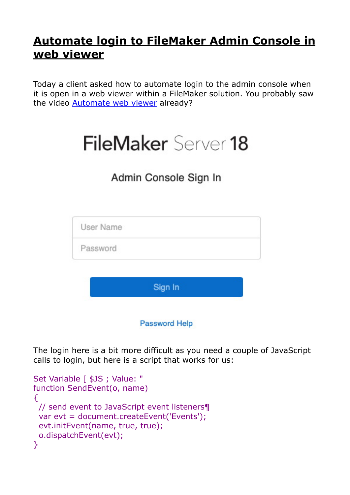## **[Automate login to FileMaker Admin Console in](https://www.mbs-plugins.com/archive/2020-02-12/Automate_login_to_FileMaker_Ad/monkeybreadsoftware_blog_filemaker)  [web viewer](https://www.mbs-plugins.com/archive/2020-02-12/Automate_login_to_FileMaker_Ad/monkeybreadsoftware_blog_filemaker)**

Today a client asked how to automate login to the admin console when it is open in a web viewer within a FileMaker solution. You probably saw the video [Automate web viewer](https://www.mbsplugins.com/AutomateWebviewer.shtml) already?

## FileMaker Server 18

## Admin Console Sign In



**Password Help** 

The login here is a bit more difficult as you need a couple of JavaScript calls to login, but here is a script that works for us:

```
Set Variable [ $JS ; Value: "
function SendEvent(o, name) 
\mathcal{L} // send event to JavaScript event listeners¶ 
  var evt = document.createEvent('Events'); 
  evt.initEvent(name, true, true); 
  o.dispatchEvent(evt); 
}
```